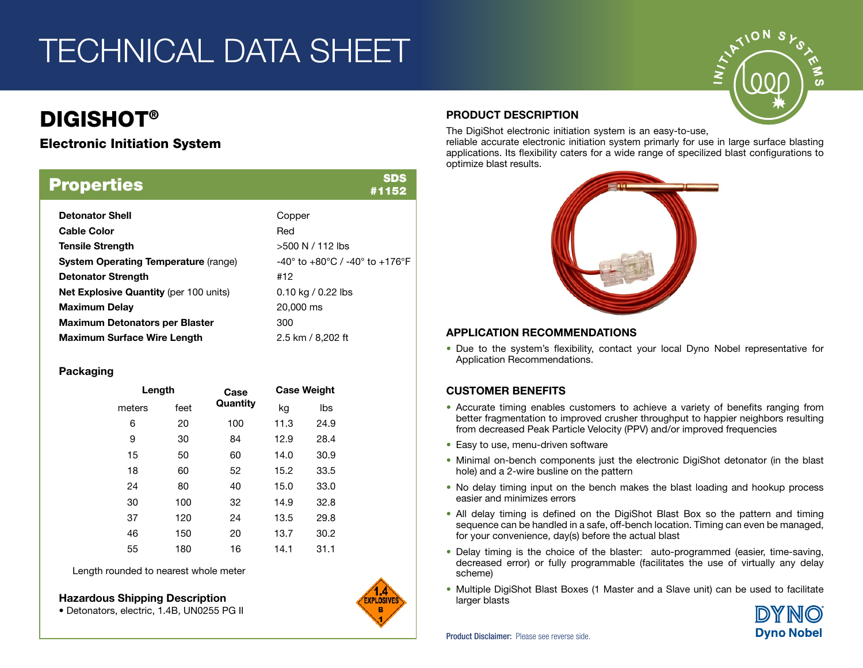# TECHNICAL DATA SHEET

## DIGISHOT®

### Electronic Initiation System

| <b>Properties</b>                             | SDS<br>#1152                                                |
|-----------------------------------------------|-------------------------------------------------------------|
| <b>Detonator Shell</b>                        | Copper                                                      |
| <b>Cable Color</b>                            | Red                                                         |
| <b>Tensile Strength</b>                       | $>500 N / 112$ lbs                                          |
| <b>System Operating Temperature (range)</b>   | $-40^{\circ}$ to $+80^{\circ}$ C / -40° to $+176^{\circ}$ F |
| <b>Detonator Strength</b>                     | #12                                                         |
| <b>Net Explosive Quantity (per 100 units)</b> | $0.10$ kg / 0.22 lbs                                        |
| <b>Maximum Delay</b>                          | 20,000 ms                                                   |
| <b>Maximum Detonators per Blaster</b>         | 300                                                         |
| <b>Maximum Surface Wire Length</b>            | 2.5 km / 8.202 ft                                           |

### Packaging

| Length |      | Case     | <b>Case Weight</b> |      |
|--------|------|----------|--------------------|------|
| meters | feet | Quantity | kg                 | lbs  |
| 6      | 20   | 100      | 11.3               | 24.9 |
| 9      | 30   | 84       | 12.9               | 28.4 |
| 15     | 50   | 60       | 14.0               | 30.9 |
| 18     | 60   | 52       | 15.2               | 33.5 |
| 24     | 80   | 40       | 15.0               | 33.0 |
| 30     | 100  | 32       | 14.9               | 32.8 |
| 37     | 120  | 24       | 13.5               | 29.8 |
| 46     | 150  | 20       | 13.7               | 30.2 |
| 55     | 180  | 16       | 14.1               | 31.1 |

Length rounded to nearest whole meter





### PRODUCT DESCRIPTION

The DigiShot electronic initiation system is an easy-to-use,

reliable accurate electronic initiation system primarly for use in large surface blasting applications. Its flexibility caters for a wide range of specilized blast configurations to optimize blast results.



### APPLICATION RECOMMENDATIONS

• Due to the system's flexibility, contact your local Dyno Nobel representative for Application Recommendations.

### CUSTOMER BENEFITS

- Accurate timing enables customers to achieve a variety of benefits ranging from better fragmentation to improved crusher throughput to happier neighbors resulting from decreased Peak Particle Velocity (PPV) and/or improved frequencies
- Easy to use, menu-driven software
- Minimal on-bench components just the electronic DigiShot detonator (in the blast hole) and a 2-wire busline on the pattern
- No delay timing input on the bench makes the blast loading and hookup process easier and minimizes errors
- All delay timing is defined on the DigiShot Blast Box so the pattern and timing sequence can be handled in a safe, off-bench location. Timing can even be managed, for your convenience, day(s) before the actual blast
- Delay timing is the choice of the blaster: auto-programmed (easier, time-saving, decreased error) or fully programmable (facilitates the use of virtually any delay scheme)
- **Hazardous Shipping Description**<br>• Detonators electric 1.4B UN0255 PG II<br>**B**